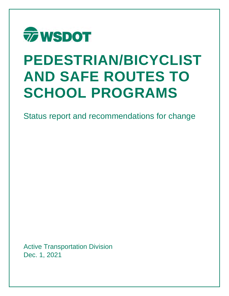

# **PEDESTRIAN/BICYCLIST AND SAFE ROUTES TO SCHOOL PROGRAMS**

Status report and recommendations for change

Active Transportation Division Dec. 1, 2021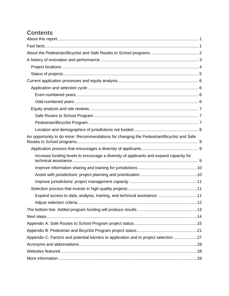# **Contents**

| An opportunity to do more: Recommendations for changing the Pedestrian/Bicyclist and Safe |  |
|-------------------------------------------------------------------------------------------|--|
|                                                                                           |  |
| Increase funding levels to encourage a diversity of applicants and expand capacity for    |  |
|                                                                                           |  |
|                                                                                           |  |
|                                                                                           |  |
|                                                                                           |  |
| Expand access to data, analysis, training, and technical assistance 11                    |  |
|                                                                                           |  |
|                                                                                           |  |
|                                                                                           |  |
|                                                                                           |  |
|                                                                                           |  |
| Appendix C: Factors and potential barriers to application and to project selection 27     |  |
|                                                                                           |  |
|                                                                                           |  |
|                                                                                           |  |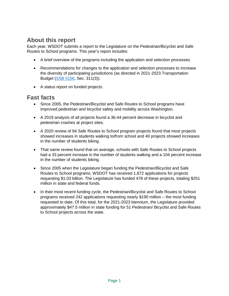# **About this report**

Each year, WSDOT submits a report to the Legislature on the Pedestrian/Bicyclist and Safe Routes to School programs. This year's report includes:

- A brief overview of the programs including the application and selection processes.
- Recommendations for changes to the application and selection processes to increase the diversity of participating jurisdictions (as directed in 2021-2023 Transportation Budget [\(SSB 5156,](https://lawfilesext.leg.wa.gov/biennium/2021-22/Pdf/Bills/Session%20Laws/Senate/5165-S.SL.pdf) Sec. 311(3)).
- A status report on funded projects.

## **Fast facts**

- Since 2005, the Pedestrian/Bicyclist and Safe Routes to School programs have improved pedestrian and bicyclist safety and mobility across Washington.
- A 2019 analysis of all projects found a 36-44 percent decrease in bicyclist and pedestrian crashes at project sites.
- A 2020 review of 94 Safe Routes to School program projects found that most projects showed increases in students walking to/from school and 40 projects showed increases in the number of students biking.
- That same review found that on average, schools with Safe Routes to School projects had a 33 percent increase in the number of students walking and a 104 percent increase in the number of students biking.
- Since 2005 when the Legislature began funding the Pedestrian/Bicyclist and Safe Routes to School programs, WSDOT has received 1,872 applications for projects requesting \$1.03 billion. The Legislature has funded 478 of these projects, totaling \$251 million in state and federal funds.
- In their most recent funding cycle, the Pedestrian/Bicyclist and Safe Routes to School programs received 242 applications requesting nearly \$190 million – the most funding requested to date. Of this total, for the 2021-2023 biennium, the Legislature provided approximately \$47.5 million in state funding for 51 Pedestrian/ Bicyclist and Safe Routes to School projects across the state.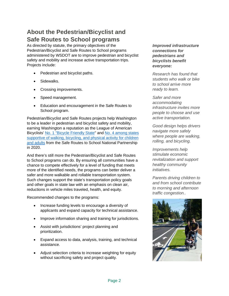# **About the Pedestrian/Bicyclist and Safe Routes to School programs**

As directed by statute, the primary objectives of the Pedestrian/Bicyclist and Safe Routes to School programs administered by WSDOT are to improve pedestrian and bicyclist safety and mobility and increase active transportation trips. Projects include:

- Pedestrian and bicyclist paths.
- Sidewalks.
- Crossing improvements.
- Speed management.
- Education and encouragement in the Safe Routes to School program.

Pedestrian/Bicyclist and Safe Routes projects help Washington to be a leader in pedestrian and bicyclist safety and mobility, earning Washington a reputation as the League of American Bicyclists' [No. 1 "Bicycle Friendly State"](http://bikeleague.org/sites/default/files/BFS2015_Washington.pdf) and No. 4 [among states](https://www.saferoutespartnership.org/sites/default/files/srp-report-card-2020/srp-report-card-2020-washington.pdf)  [supportive of walking, bicycling, and physical activity for children](https://www.saferoutespartnership.org/sites/default/files/srp-report-card-2020/srp-report-card-2020-washington.pdf)  [and adults](https://www.saferoutespartnership.org/sites/default/files/srp-report-card-2020/srp-report-card-2020-washington.pdf) from the Safe Routes to School National Partnership in 2020.

And there's still more the Pedestrian/Bicyclist and Safe Routes to School programs can do. By ensuring all communities have a chance to compete effectively for a level of funding that meets more of the identified needs, the programs can better deliver a safer and more walkable and rollable transportation system. Such changes support the state's transportation policy goals and other goals in state law with an emphasis on clean air, reductions in vehicle miles traveled, health, and equity.

Recommended changes to the programs:

- Increase funding levels to encourage a diversity of applicants and expand capacity for technical assistance.
- Improve information sharing and training for jurisdictions.
- Assist with jurisdictions' project planning and prioritization.
- Expand access to data, analysis, training, and technical assistance.
- Adjust selection criteria to increase weighting for equity without sacrificing safety and project quality.

*Improved infrastructure connections for pedestrians and bicyclists benefit everyone:* 

*Research has found that students who walk or bike to school arrive more ready to learn.*

*Safer and more accommodating infrastructure invites more people to choose and use active transportation.*

*Good design helps drivers navigate more safely where people are walking, rolling, and bicycling.* 

*Improvements help stimulate economic revitalization and support healthy community initiatives.*

*Parents driving children to and from school contribute to morning and afternoon traffic congestion..* 

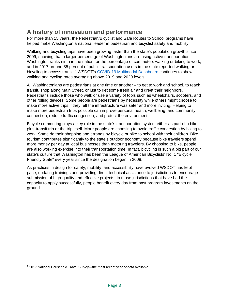# **A history of innovation and performance**

For more than 15 years, the Pedestrian/Bicyclist and Safe Routes to School programs have helped make Washington a national leader in pedestrian and bicyclist safety and mobility.

Walking and bicycling trips have been growing faster than the state's population growth since 2009, showing that a larger percentage of Washingtonians are using active transportation. Washington ranks ninth in the nation for the percentage of commuters walking or biking to work, and in 2017 around 85 percent of public transportation users in the state reported walking or bicycling to access transit.<sup>[1](#page-4-0)</sup> WSDOT's [COVID-19 Multimodal Dashboard](https://wsdot.wa.gov/about/covid-19-transportation-report/dashboard/act/default.htm) continues to show walking and cycling rates averaging above 2019 and 2020 levels.

All Washingtonians are pedestrians at one time or another – to get to work and school, to reach transit, shop along Main Street, or just to get some fresh air and greet their neighbors. Pedestrians include those who walk or use a variety of tools such as wheelchairs, scooters, and other rolling devices. Some people are pedestrians by necessity while others might choose to make more active trips if they felt the infrastructure was safer and more inviting. Helping to make more pedestrian trips possible can improve personal health, wellbeing, and community connection; reduce traffic congestion; and protect the environment.

Bicycle commuting plays a key role in the state's transportation system either as part of a bikeplus-transit trip or the trip itself. More people are choosing to avoid traffic congestion by biking to work. Some do their shopping and errands by bicycle or bike to school with their children. Bike tourism contributes significantly to the state's outdoor economy because bike travelers spend more money per day at local businesses than motoring travelers. By choosing to bike, people are also working exercise into their transportation time. In fact, bicycling is such a big part of our state's culture that Washington has been the League of American Bicyclists' No. 1 "Bicycle Friendly State" every year since the designation began in 2008.

As practices in design for safety, mobility, and accessibility have evolved WSDOT has kept pace, updating trainings and providing direct technical assistance to jurisdictions to encourage submission of high-quality and effective projects. In those jurisdictions that have had the capacity to apply successfully, people benefit every day from past program investments on the ground.

<span id="page-4-0"></span><sup>&</sup>lt;sup>1</sup> 2017 National Household Travel Survey—the most recent year of data available.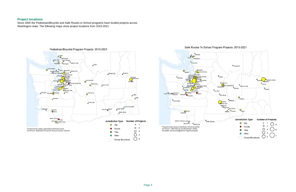

Since 2005 the Pedestrian/Bicyclist and Safe Routes to School programs have funded projects across Washington state. The following maps show project locations from 2015-2021.







## **Project locations**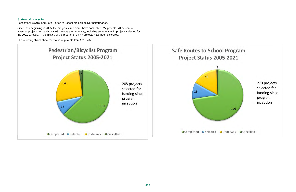## **Status of projects**

Pedestrian/Bicyclist and Safe Routes to School projects deliver performance.

Since their beginning in 2005, the programs' recipients have completed 327 projects, 70 percent of awarded projects. An additional 98 projects are underway, including some of the 51 projects selected for the 2021-23 cycle. In the history of the programs, only 7 projects have been cancelled.

The following charts show the status of projects from 2015-2021.

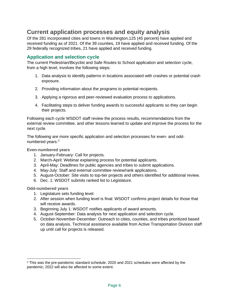# **Current application processes and equity analysis**

Of the 281 incorporated cities and towns in Washington,125 (45 percent) have applied and received funding as of 2021. Of the 39 counties, 19 have applied and received funding. Of the 29 federally recognized tribes, 21 have applied and received funding.

## **Application and selection cycle**

The current Pedestrian/Bicyclist and Safe Routes to School application and selection cycle, from a high level, involves the following steps:

- 1. Data analysis to identify patterns in locations associated with crashes or potential crash exposure.
- 2. Providing information about the programs to potential recipients.
- 3. Applying a rigorous and peer-reviewed evaluation process to applications.
- 4. Facilitating steps to deliver funding awards to successful applicants so they can begin their projects.

Following each cycle WSDOT staff review the process results, recommendations from the external review committee, and other lessons learned to update and improve the process for the next cycle.

The following are more specific application and selection processes for even- and odd-numbered years:<sup>[2](#page-7-0)</sup>

**Even-numbered years**

- 1. January-February: Call for projects.
- 2. March-April: Webinar explaining process for potential applicants.
- 3. April-May: Deadlines for public agencies and tribes to submit applications.
- 4. May-July: Staff and external committee review/rank applications.
- 5. August-October: Site visits to top-tier projects and others identified for additional review.
- 6. Dec. 1: WSDOT submits ranked list to Legislature.

**Odd-numbered years**

- 1. Legislature sets funding level.
- 2. After session when funding level is final: WSDOT confirms project details for those that will receive awards.
- 3. Beginning July 1: WSDOT notifies applicants of award amounts.
- 4. August-September: Data analysis for next application and selection cycle.
- 5. October-November-December: Outreach to cities, counties, and tribes prioritized based on data analysis. Technical assistance available from Active Transportation Division staff up until call for projects is released.

<span id="page-7-0"></span><sup>2</sup> This was the pre-pandemic standard schedule. 2020 and 2021 schedules were affected by the pandemic; 2022 will also be affected to some extent.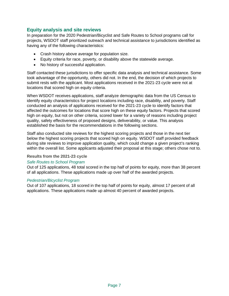### **Equity analysis and site reviews**

In preparation for the 2020 Pedestrian/Bicyclist and Safe Routes to School programs call for projects, WSDOT staff prioritized outreach and technical assistance to jurisdictions identified as having any of the following characteristics:

- Crash history above average for population size.
- Equity criteria for race, poverty, or disability above the statewide average.
- No history of successful application.

Staff contacted these jurisdictions to offer specific data analysis and technical assistance. Some took advantage of the opportunity, others did not. In the end, the decision of which projects to submit rests with the applicant. Most applications received in the 2021-23 cycle were not at locations that scored high on equity criteria.

When WSDOT receives applications, staff analyze demographic data from the US Census to identify equity characteristics for project locations including race, disability, and poverty. Staff conducted an analysis of applications received for the 2021-23 cycle to identify factors that affected the outcomes for locations that score high on these equity factors. Projects that scored high on equity, but not on other criteria, scored lower for a variety of reasons including project quality, safety effectiveness of proposed designs, deliverability, or value. This analysis established the basis for the recommendations in the following sections.

Staff also conducted site reviews for the highest scoring projects and those in the next tier below the highest scoring projects that scored high on equity. WSDOT staff provided feedback during site reviews to improve application quality, which could change a given project's ranking within the overall list. Some applicants adjusted their proposal at this stage; others chose not to.

#### **Results from the 2021-23 cycle**

#### *Safe Routes to School Program*

Out of 125 applications, 48 total scored in the top half of points for equity, more than 38 percent of all applications. These applications made up over half of the awarded projects.

#### *Pedestrian/Bicyclist Program*

Out of 107 applications, 18 scored in the top half of points for equity, almost 17 percent of all applications. These applications made up almost 40 percent of awarded projects.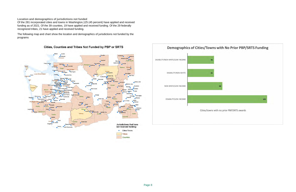**Location and demographics of jurisdictions not funded**

Of the 281 incorporated cities and towns in Washington,125 (45 percent) have applied and received funding as of 2021. Of the 39 counties, 19 have applied and received funding. Of the 29 federally recognized tribes, 21 have applied and received funding.

The following map and chart show the location and demographics of jurisdictions not funded by the programs



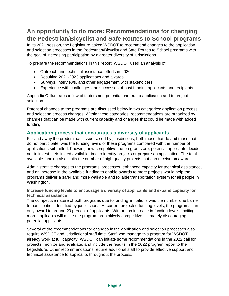# **An opportunity to do more: Recommendations for changing the Pedestrian/Bicyclist and Safe Routes to School programs**

In its 2021 session, the Legislature asked WSDOT to recommend changes to the application and selection processes in the Pedestrian/Bicyclist and Safe Routes to School programs with the goal of increasing participation by a greater diversity of jurisdictions.

To prepare the recommendations in this report, WSDOT used an analysis of:

- Outreach and technical assistance efforts in 2020.
- Resulting 2021-2023 applications and awards.
- Surveys, interviews, and other engagement with stakeholders.
- Experience with challenges and successes of past funding applicants and recipients.

Appendix C illustrates a flow of factors and potential barriers to application and to project selection.

Potential changes to the programs are discussed below in two categories: application process and selection process changes. Within these categories, recommendations are organized by changes that can be made with current capacity and changes that could be made with added funding.

#### **Application process that encourages a diversity of applicants**

Far and away the predominant issue raised by jurisdictions, both those that do and those that do not participate, was the funding levels of these programs compared with the number of applications submitted. Knowing how competitive the programs are, potential applicants decide not to invest their limited available time to identify projects or prepare an application. The total available funding also limits the number of high-quality projects that can receive an award.

Administrative changes to the programs' processes, enhanced capacity for technical assistance, and an increase in the available funding to enable awards to more projects would help the programs deliver a safer and more walkable and rollable transportation system for all people in Washington.

**Increase funding levels to encourage a diversity of applicants and expand capacity for technical assistance**

The competitive nature of both programs due to funding limitations was the number one barrier to participation identified by jurisdictions. At current projected funding levels, the programs can only award to around 20 percent of applicants. Without an increase in funding levels, inviting more applicants will make the program prohibitively competitive, ultimately discouraging potential applicants.

Several of the recommendations for changes in the application and selection processes also require WSDOT and jurisdictional staff time. Staff who manage this program for WSDOT already work at full capacity. WSDOT can initiate some recommendations in the 2022 call for projects, monitor and evaluate, and include the results in the 2022 program report to the Legislature. Other recommendations require additional staff to provide effective support and technical assistance to applicants throughout the process.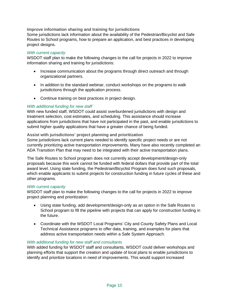**Improve information sharing and training for jurisdictions**

Some jurisdictions lack information about the availability of the Pedestrian/Bicyclist and Safe Routes to School programs, how to prepare an application, and best practices in developing project designs.

#### *With current capacity*

WSDOT staff plan to make the following changes to the call for projects in 2022 to improve information sharing and training for jurisdictions:

- Increase communication about the programs through direct outreach and through organizational partners.
- In addition to the standard webinar, conduct workshops on the programs to walk jurisdictions through the application process.
- Continue training on best practices in project design.

#### *With additional funding for new staff*

With new funded staff, WSDOT could assist overburdened jurisdictions with design and treatment selection, cost estimates, and scheduling. This assistance should increase applications from jurisdictions that have not participated in the past, and enable jurisdictions to submit higher quality applications that have a greater chance of being funded.

#### **Assist with jurisdictions' project planning and prioritization**

Some jurisdictions lack current plans needed to identify specific project needs or are not currently prioritizing active transportation improvements. Many have also recently completed an ADA Transition Plan that may need to be integrated with their active transportation plans.

The Safe Routes to School program does not currently accept development/design-only proposals because this work cannot be funded with federal dollars that provide part of the total award level. Using state funding, the Pedestrian/Bicyclist Program does fund such proposals, which enable applicants to submit projects for construction funding in future cycles of these and other programs.

#### *With current capacity*

WSDOT staff plan to make the following changes to the call for projects in 2022 to improve project planning and prioritization:

- Using state funding, add development/design-only as an option in the Safe Routes to School program to fill the pipeline with projects that can apply for construction funding in the future.
- Coordinate with the WSDOT Local Programs' City and County Safety Plans and Local Technical Assistance programs to offer data, training, and examples for plans that address active transportation needs within a Safe System Approach.

#### *With additional funding for new staff and consultants*

With added funding for WSDOT staff and consultants, WSDOT could deliver workshops and planning efforts that support the creation and update of local plans to enable jurisdictions to identify and prioritize locations in need of improvements. This would support increased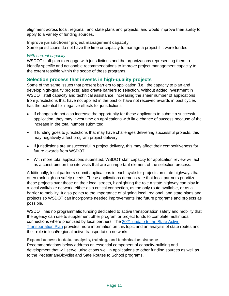alignment across local, regional, and state plans and projects, and would improve their ability to apply to a variety of funding sources.

**Improve jurisdictions' project management capacity** Some jurisdictions do not have the time or capacity to manage a project if it were funded.

#### *With current capacity*

WSDOT staff plan to engage with jurisdictions and the organizations representing them to identify specific and actionable recommendations to improve project management capacity to the extent feasible within the scope of these programs.

#### **Selection process that invests in high-quality projects**

Some of the same issues that present barriers to application (i.e., the capacity to plan and develop high-quality projects) also create barriers to selection. Without added investment in WSDOT staff capacity and technical assistance, increasing the sheer number of applications from jurisdictions that have not applied in the past or have not received awards in past cycles has the potential for negative effects for jurisdictions:

- If changes do not also increase the opportunity for these applicants to submit a successful application, they may invest time on applications with little chance of success because of the increase in the total number submitted.
- If funding goes to jurisdictions that may have challenges delivering successful projects, this may negatively affect program project delivery.
- If jurisdictions are unsuccessful in project delivery, this may affect their competitiveness for future awards from WSDOT.
- With more total applications submitted, WSDOT staff capacity for application review will act as a constraint on the site visits that are an important element of the selection process.

Additionally, local partners submit applications in each cycle for projects on state highways that often rank high on safety needs. These applications demonstrate that local partners prioritize these projects over those on their local streets, highlighting the role a state highway can play in a local walk/bike network, either as a critical connection, as the only route available, or as a barrier to mobility. It also points to the importance of aligning local, regional, and state plans and projects so WSDOT can incorporate needed improvements into future programs and projects as possible.

WSDOT has no programmatic funding dedicated to active transportation safety and mobility that the agency can use to supplement other program or project funds to complete multimodal connections where prioritized by local partners. The [2021 update to the State Active](https://wsdot.wa.gov/construction-planning/statewide-plans/active-transportation-plans)  [Transportation Plan](https://wsdot.wa.gov/construction-planning/statewide-plans/active-transportation-plans) provides more information on this topic and an analysis of state routes and their role in local/regional active transportation networks.

**Expand access to data, analysis, training, and technical assistance** Recommendations below address an essential component of capacity-building and development that will serve jurisdictions well in applications to other funding sources as well as to the Pedestrian/Bicyclist and Safe Routes to School programs.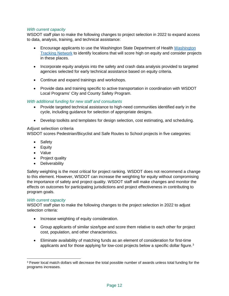#### *With current capacity*

WSDOT staff plan to make the following changes to project selection in 2022 to expand access to data, analysis, training, and technical assistance:

- Encourage applicants to use the Washington State Department of Health [Washington](https://www.doh.wa.gov/DataandStatisticalReports/WashingtonTrackingNetworkWTN)  [Tracking Network](https://www.doh.wa.gov/DataandStatisticalReports/WashingtonTrackingNetworkWTN) to identify locations that will score high on equity and consider projects in these places.
- Incorporate equity analysis into the safety and crash data analysis provided to targeted agencies selected for early technical assistance based on equity criteria.
- Continue and expand trainings and workshops.
- Provide data and training specific to active transportation in coordination with WSDOT Local Programs' City and County Safety Program.

#### *With additional funding for new staff and consultants*

- Provide targeted technical assistance to high-need communities identified early in the cycle, including guidance for selection of appropriate designs.
- Develop toolkits and templates for design selection, cost estimating, and scheduling.

#### **Adjust selection criteria**

WSDOT scores Pedestrian/Bicyclist and Safe Routes to School projects in five categories:

- Safety
- Equity
- Value
- Project quality
- Deliverability

Safety weighting is the most critical for project ranking. WSDOT does not recommend a change to this element. However, WSDOT can increase the weighting for equity without compromising the importance of safety and project quality. WSDOT staff will make changes and monitor the effects on outcomes for participating jurisdictions and project effectiveness in contributing to program goals.

#### *With current capacity*

WSDOT staff plan to make the following changes to the project selection in 2022 to adjust selection criteria:

- Increase weighting of equity consideration.
- Group applicants of similar size/type and score them relative to each other for project cost, population, and other characteristics.
- Eliminate availability of matching funds as an element of consideration for first-time applicants and for those applying for low-cost projects below a specific dollar figure.<sup>[3](#page-13-0)</sup>

<span id="page-13-0"></span><sup>&</sup>lt;sup>3</sup> Fewer local match dollars will decrease the total possible number of awards unless total funding for the programs increases.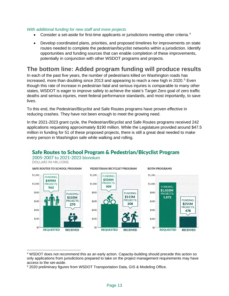#### *With additional funding for new staff and more projects*

- Consider a set-aside for first-time applicants or jurisdictions meeting other criteria.[4](#page-14-0)
- Develop coordinated plans, priorities, and proposed timelines for improvements on state routes needed to complete the pedestrian/bicyclist networks within a jurisdiction. Identify opportunities and funding sources that can enable completion of these improvements, potentially in conjunction with other WSDOT programs and projects.

## **The bottom line: Added program funding will produce results**

In each of the past five years, the number of pedestrians killed on Washington roads has increased, more than doubling since 2013 and appearing to reach a new high in 2020.<sup>[5](#page-14-1)</sup> Even though this rate of increase in pedestrian fatal and serious injuries is comparable to many other states, WSDOT is eager to improve safety to achieve the state's Target Zero goal of zero traffic deaths and serious injuries, meet federal performance standards, and most importantly, to save lives.

To this end, the Pedestrian/Bicyclist and Safe Routes programs have proven effective in reducing crashes. They have not been enough to meet the growing need.

In the 2021-2023 grant cycle, the Pedestrian/Bicyclist and Safe Routes programs received 242 applications requesting approximately \$190 million. While the Legislature provided around \$47.5 million in funding for 51 of these proposed projects, there is still a great deal needed to make every person in Washington safe while walking and rolling.



#### <span id="page-14-0"></span><sup>4</sup> WSDOT does not recommend this as an early action. Capacity-building should precede this action so only applications from jurisdictions prepared to take on the project management requirements may have access to the set-aside.

<span id="page-14-1"></span><sup>5</sup> 2020 preliminary figures from WSDOT Transportation Data, GIS & Modeling Office.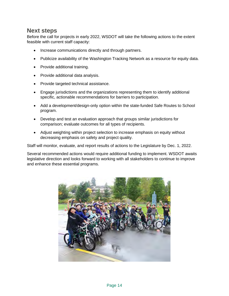## **Next steps**

Before the call for projects in early 2022, WSDOT will take the following actions to the extent feasible with current staff capacity:

- Increase communications directly and through partners.
- Publicize availability of the Washington Tracking Network as a resource for equity data.
- Provide additional training.
- Provide additional data analysis.
- Provide targeted technical assistance.
- Engage jurisdictions and the organizations representing them to identify additional specific, actionable recommendations for barriers to participation.
- Add a development/design-only option within the state-funded Safe Routes to School program.
- Develop and test an evaluation approach that groups similar jurisdictions for comparison; evaluate outcomes for all types of recipients.
- Adjust weighting within project selection to increase emphasis on equity without decreasing emphasis on safety and project quality.

Staff will monitor, evaluate, and report results of actions to the Legislature by Dec. 1, 2022.

Several recommended actions would require additional funding to implement. WSDOT awaits legislative direction and looks forward to working with all stakeholders to continue to improve and enhance these essential programs.

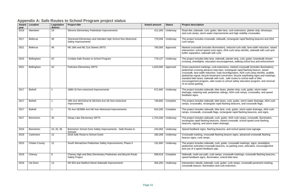bike lane, curb extensions, planter strip, driveways, provements and high visibility crosswalks.

sidewalk, rectangular rapid flashing beacons and ADA

hination), reduced curb radii, lane width reduction, raised signs, ADA curb ramp retrofits, sidewalk with curb and curb.

dewalk, planter strip, curb, gutter, boardwalk stream encouragement, walking school bus and enforcement.

extensions, marked crosswalk (includes illumination), pp bars, rectangular rapid flashing beacon, raised road reconfiguration, ADA curb ramp retrofits, audible ard conversion, bicycle wayfinding signs and markings, th curb, safe routes to school walk or bike outes to school safety education program, and removal

ke lanes, planter strip, curb, gutter, storm water an railings, ADA curb ramps, crosswalks, and speed

ke lanes, curb, gutter, storm water drainage, ADA curb rapid flashing beacons, and crosswalk flags.

ke lane, curb, gutter, storm water drainage, ADA curb gs, rectangular rapid flashing beacons, and signs.

2015 Bremerton 35 Kitsap Lake Elementary Surb, gutter, ADA curb ramps, crosswalk, illumination, ns, raised crosswalk, school speed zone flashing er drainage.

beacons, and school speed zone signage.

ashing beacon signs, advanced crosswalk flashing

2015 unter, Crosswalk markings, signs, streetlights, Phase II 131,600 underway The project includes sidewalks, eacons, no parking zone, education, encouragement

Imps, crosswalk markings, crosswalk flashing beacons, on, extend bike lane.

 $\overline{u}$ rb, gutter, curb ramps, crosswalk pavement marking, nd curb extension.

## **Appendix A: Safe Routes to School Program project status**

| Award<br>year | Location             | Legislative<br>district | <b>Project title</b>                                                                  | <b>Award amount</b> | <b>Status</b> | <b>Project description</b>                                                                                                                                                                                                                                |
|---------------|----------------------|-------------------------|---------------------------------------------------------------------------------------|---------------------|---------------|-----------------------------------------------------------------------------------------------------------------------------------------------------------------------------------------------------------------------------------------------------------|
| 2019          | Aberdeen             | 19                      | Stevens Elementary Pedestrian Improvements                                            | 411,200             | Underway      | Road diet, sidewalk, curb, gutter, b<br>and curb ramps, storm water impro                                                                                                                                                                                 |
| 2017          | Bellevue             | 48                      | Sherwood Elementary and Interlake High School Non-Motorized<br>Safety Improvements    | 778,559             | Underway      | The project includes crosswalk, sid<br>curb ramps.                                                                                                                                                                                                        |
| 2021          | Bellevue             | 48                      | NE 18th and NE 21st Streets SRTS                                                      | 790,000             | Approved      | Marked crosswalk (includes illumin<br>intersection, school speed zone sig<br>buffer separation, sidewalk with cui                                                                                                                                         |
| 2015          | Bellingham           | 42                      | Cordata Safe Routes to School Program                                                 | 778,127             | Underway      | The project includes bike lane, side<br>crossing, streetlights, education en                                                                                                                                                                              |
| 2021          | Bellingham           | 42                      | <b>Parkview Elementary SRTS</b>                                                       | 1,620,000           | Approved      | Green pavement markings, curb ex<br>pedestrian crossing advance stop b<br>crosswalk, lane width reduction, roa<br>pedestrian signal, bicycle boulevard<br>standard bike lanes, sidewalk with<br>encouragement program, safe rout<br>of on-street parking. |
| 2017          | <b>Bothell</b>       |                         | 188th St Non-motorized Improvements                                                   | 672,600             | Underway      | The project includes sidewalk, bike<br>drainage, retaining wall, pedestrian<br>feedback signs.                                                                                                                                                            |
| 2017          | <b>Bothell</b>       | 1                       | 19th Ave SE/232nd St SE/23rd Ave SE Non-motorized<br>Improvements                     | 748,800             | Complete      | The project includes sidewalk, bike<br>ramps, crosswalks, rectangular rap                                                                                                                                                                                 |
| 2017          | <b>Bothell</b>       | 1                       | 7th Ave SE/88th Ave NE Non-Motorized Improvements                                     | 610,200             | Complete      | The project includes sidewalk, bike<br>ramps, crosswalk, crosswalk flags,                                                                                                                                                                                 |
| 2017          | <b>Bremerton</b>     | 35                      | Kitsap Lake Elementary SRTS                                                           | 1,754,348           | Underway      | The project includes sidewalk, curb<br>rectangular rapid flashing beacons,<br>beacons, signing, and storm water                                                                                                                                           |
| 2019          | <b>Bremerton</b>     | 23, 26, 35              | Bremerton School Zone Safety Improvements - Safe Routes to<br>Schools                 | 244,000             | Underway      | Speed feedback signs, flashing bea                                                                                                                                                                                                                        |
| 2019          | Cashmere             | 12                      | 2018 Safe Route to School Grant                                                       | 180,268             | Underway      | Crosswalk marking, crosswalk flash<br>beacon signs, curb ramps.                                                                                                                                                                                           |
| 2015          | <b>Chelan County</b> | 12 <sup>°</sup>         | South Wenatchee Pedestrian Safety Improvements, Phase II                              | 131,600             | Underway      | The project includes sidewalk, curb<br>pedestrian activated crosswalk bea<br>and use of a speed feedback sign.                                                                                                                                            |
| 2019          | Cheney               | 6                       | Cheney High and Betz Elementary Pedestrian and Bicycle Route<br><b>Safety Project</b> | 598,619             | Complete      | Sidewalk, multi-use path, curb ram<br>speed feedback signs, illumination,                                                                                                                                                                                 |
| 2019          | Cle Elum             | 13                      | SR 903 and Stafford Street Sidewalk Improvements                                      | 356,250             | Underway      | Intersection rebuild, sidewalk, curb,<br>crosswalk beacon, illumination and                                                                                                                                                                               |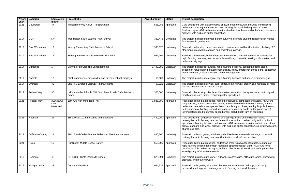markings, marked crosswalk (includes illumination), pp bars, rectangular rapid flashing beacon, speed retrofits, standard bike lanes and/or buffered bike lanes, paration.

barent survey to estimate student transportation modes

ersection, narrow lane widths, illumination, flashing LED and pedestrian signage.

ips, mini roundabout, raised intersection, rectangular ravel lane widths, crosswalk markings, illumination and

rapid flashing beacons, pedestrian traffic signal, ent markings, signs, emergency traffic signal pedestrian on and encouragement.

rapid flashing beacons and speed feedback signs.

urb, gutter, retaining wall, crosswalks, rectangular rapid ramps.

1, illumination, extend school speed zone, traffic signal ced posted speed limit.

marked crosswalks, compact round about, ADA curb n signal, walkway with bio-swale/ditch buffer, leading estrian scramble signal phase, leading bicyclist interval, d-use path (separated by swale and/or planter area), lower posted humps, prohibit right turn on red signs.

1ting at crossings, traffic channelization island, on, lane width reduction, road reconfiguration, school nd signage, ADA curb ramp retrofits, audible pedestrian walk with curb and buffer separation, sidewalk with curb,

-use path, bike lanes, crosswalk markings, crosswalk  $n$ s, illumination, and safety education.

pedestrian crossing advance stop bars, rectangular h reduction, speed feedback signs, ADA curb ramp ral, buffered bike lanes, sidewalk with curb, pedestrianofits.

f, sidewalk, planter strips, ADA curb ramps, storm water

es, illumination, stormwater drainage, curb ramps, gular rapid flashing crosswalk beacons.

| <b>Award</b><br>year | <b>Location</b>      | Legislative<br>district         | <b>Project title</b>                                                 | <b>Award amount</b> | <b>Status</b> | <b>Project description</b>                                                                                                                                                          |
|----------------------|----------------------|---------------------------------|----------------------------------------------------------------------|---------------------|---------------|-------------------------------------------------------------------------------------------------------------------------------------------------------------------------------------|
| 2021                 | Covington            | 47                              | Timberlane Way Active Transportation                                 | 555,085             | Approved      | Curb extensions with pavement<br>pedestrian crossing advance sto<br>feedback signs, ADA curb ramp<br>sidewalk with curb and buffer se                                               |
| 2017                 | <b>DOH</b>           | N/A                             | Washington State Student Travel Survey                               | 380,446             | Complete      | The project includes statewide p<br>for students in grades K-8.                                                                                                                     |
| 2019                 | East Wenatchee       | 12                              | Kenroy Elementary Safe Routes to School                              | 1,998,675           | Underway      | Sidewalk, buffer strip, raised inte<br>stop signs, crosswalk markings a                                                                                                             |
| 2019                 | East Wenatchee       | 12                              | Sterling Intermediate Safe Routes to School                          | 1,937,791           | Underway      | Sidewalks, bike lanes, buffer stri<br>rapid flashing beacons, narrow to<br>pedestrian signage.                                                                                      |
| 2017                 | Edmonds              |                                 | <b>Citywide Ped Crossing Enhancements</b>                            | 1,490,000           | Underway      | The project includes rectangular<br>pedestrian refuge island, pavem<br>actuation button, safety educatio                                                                            |
| 2017                 | Ephrata              | 13                              | Flashing beacons, crosswalks, and driver feedback displays           | 50,000              | Underway      | The project includes rectangular                                                                                                                                                    |
| 2017                 | Everson              | 42                              | SR544 S Everson Sidewalk Improvements                                | 497,025             | Underway      | The project includes sidewalk, cu<br>flashing beacon, and ADA curb r                                                                                                                |
| 2019                 | <b>Federal Way</b>   | 30                              | Lakota Middle School - SW Dash Point Road - Safe Routes to<br>School | 1,350,000           | Underway      | Sidewalk, planter strip, bike lane<br>modifications, curb ramps, reduc                                                                                                              |
| 2021                 | <b>Federal Way</b>   | 3016th Ave<br>Non-<br>Motorized | 16th Ave Non-Motorized Trail                                         | 1,835,000           | Approved      | Pedestrian lighting at crossings,<br>ramp retrofits, audible pedestriar<br>pedestrian intervals, 4-way pede<br>pedestrian-scale lighting, shared<br>lower posted speed to 30mph, sp |
| 2021                 | Hoquiam              | 24                              | SR 109/US 101 Bike Lanes and Sidewalks                               | 1,440,000           | Approved      | Curb extensions, pedestrian ligh<br>rectangular rapid flashing beaco<br>speed zone flashing beacons an<br>signal, standard bike lanes, side<br>shared-use path.                     |
| 2019                 | Jefferson County     | 24                              | SR116 and Cedar Avenue Pedestrian Bike Improvements                  | 880,300             | Underway      | Sidewalk, curb and gutter, multi-<br>rectangular rapid flashing beaco                                                                                                               |
| 2021                 | Kelso                | 19                              | Huntington Middle School Safety                                      | 658,000             | Approved      | Pedestrian lighting at crossings,<br>rapid flashing beacon, lane width<br>retrofits, audible pedestrian signa<br>scale lighting, ADA surface retro                                  |
| 2017                 | Kenmore              | 46                              | NE 153rd PI Safe Routes to School                                    | 673,594             | Complete      | The project includes curb, gutter<br>drainage, and retaining walls.                                                                                                                 |
| 2019                 | <b>Kitsap County</b> | 23                              | <b>Central Valley Road</b>                                           | 2,044,637           | Approved      | Sidewalk, curb, gutter, bike lanes<br>crosswalk markings, and rectang                                                                                                               |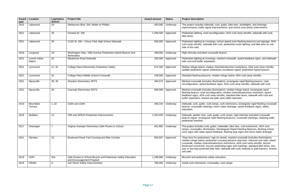urb, gutter, bike lane, streetlights, and drainage rovements, and school zone photo enforcement.

guration, ADA curb ramp retrofits, sidewalk with curb,

school speed zone flashing beacons and signage, ADA h curb, pedestrian-scale lighting, and bike lane on one

marked crosswalk, speed feedback signs, and sidewalk

nannelization/turn restrictions, ADA curb ramp retrofits, strian countdown signal, pedestrian hybrid beacon.

dian refuge island, ADA curb ramp retrofits.

nination), rectangular rapid flashing beacon, road signs, ADA curb ramp retrofits, sidewalk with curb.

nination), median refuge island, rectangular rapid ration, median channelization/turn restriction, speed retrofits, standard bike lanes, sidewalk with curb and ath, lane width reduction.

ps, curb extensions, rectangular rapid flashing crosswalk orm water drainage, speed feedback signs, safety

tter, curb ramps, high-intensity activated crosswalk flashing beacons, crosswalk markings, retaining walls,

2017 Okanogan 7 Virginia Grainger Elementary Safe Routes to School 452,865 Underway The project includes curb, gutter, sidewalks, bike lane, curb extensions, ADA curb Rectangular Rapid Flashing Beacons, flashing school dback, flashing stop signs and storm water drainage.

(in-street), marked crosswalk (includes illumination), n crossing advance stop bars, reduced curb radii, raised on/turn restrictions, ADA curb ramp retrofits, bicycle ayfinding signs and markings, standard bike lanes, oneane, sidewalk with curb, bollards or path barriers, shared-

| Award<br>year | Location               | Legislative<br>district | <b>Project title</b>                                                                       | <b>Award amount</b> | <b>Status</b>    | <b>Project description</b>                                                                                                                                                                                                                                                   |
|---------------|------------------------|-------------------------|--------------------------------------------------------------------------------------------|---------------------|------------------|------------------------------------------------------------------------------------------------------------------------------------------------------------------------------------------------------------------------------------------------------------------------------|
| 2015          | Lakewood               | 29                      | Steilacoom Blvd. SW: Weller to Phillips                                                    | 450,000             | Underway         | The project includes sidewalk, curb, gutter, bike<br>improvements, traffic signal improvements, and                                                                                                                                                                          |
| 2021          | Lakewood               | 29                      | Farwest Dr. SW                                                                             | 1,336,000           | Approved         | Pedestrian lighting, road reconfiguration, ADA c<br>bike lanes.                                                                                                                                                                                                              |
| 2021          | Lakewood               | 29                      | 112th St. SW - Clover Park High School Sidewalk                                            | 656,000             | Approved         | Pedestrian lighting at crossings, school speed z<br>curb ramp retrofits, sidewalk with curb, pedestria<br>side of the road.                                                                                                                                                  |
| 2019          | Longview               | 19                      | Washington Way / 28th Avenue Pedestrian Hybrid Beacon and<br>illumination                  | 180,000             | Underway         | High-intensity activated crosswalk beacon.                                                                                                                                                                                                                                   |
| 2021          | Lummi Indian<br>Nation | 42                      | Mackenzie Road Sidewalk                                                                    | 200,000             | Approved         | Pedestrian lighting at crossings, marked crossw<br>with curb and buffer separation.                                                                                                                                                                                          |
| 2021          | Lynnwood               | 21, 32                  | College Place Elementary Pedestrian Safety                                                 | 672,300             | Approved         | Median refuge island, median channelization/tur<br>audible pedestrian signal, pedestrian countdowr                                                                                                                                                                           |
| 2021          | Lynnwood               | 32                      | College Place Middle School Crosswalk                                                      | 238,000             | Approved         | Standard flashing beacons, median refuge islan                                                                                                                                                                                                                               |
| 2021          | Marysville             | 38, 39                  | <b>Shoultes Elementary SRTS</b>                                                            | 394,073             | Approved         | Marked crosswalk (includes illumination), rectan<br>reconfiguration, speed feedback signs, ADA cur                                                                                                                                                                           |
| 2021          | Marysville             | 38                      | <b>Cascade Elementary SRTS</b>                                                             | 599,089             | Approved         | Marked crosswalk (includes illumination), media<br>flashing beacon, road reconfiguration, median c<br>feedback signs, ADA curb ramp retrofits, standa<br>buffer separation, shared-use path, lane width re                                                                   |
| 2019          | Mountlake<br>Terrace   | 1,32                    | 216th and 220th                                                                            | 468,194             | Underway         | Sidewalk, curb, gutter, curb ramps, curb extensi<br>beacon, crosswalk markings, storm water draina<br>education.                                                                                                                                                             |
| 2019          | Mukilteo               | 21                      | 76th and SR525 Pedestrian Improvements                                                     | 1,323,450           | Underway         | Sidewalk, planter strip, curb, gutter, curb ramps,<br>beacon signal, rectangular rapid flashing beacor<br>pedestrian handrail.                                                                                                                                               |
|               | 2017 Okanogan          | $\overline{7}$          | Virginia Grainger Elementary Safe Routes to School                                         |                     | 452,865 Underway | The project includes curb, gutter, sidewalks, bike<br>ramps, crosswalks, illumination, Rectangular Ra<br>zone signs with radar speed feedback, flashing                                                                                                                      |
| 2021          | Olympia                | 22                      | Boulevard Road Trail Crossing and Bike Corridor                                            | 893,607             | Approved         | "Stop here for pedestrians" sign (in-street), mark<br>median refuge island, pedestrian crossing advar<br>crosswalk, median channelization/turn restriction<br>boulevard conversion, bicycle wayfinding signs<br>way or two-way protected bike lane, sidewalk wi<br>use path. |
| 2019          | <b>OSPI</b>            | N/A                     | Safe Routes to School Bicycle and Pedestrian Safety Education<br>and Encouragement Program | 1,298,985           | Underway         | Bicyclist and pedestrian safety education.                                                                                                                                                                                                                                   |
| 2019          | Othello                | 9                       | Ash Street Safety Improvements                                                             | 788,586             | Underway         | Install curb extensions, crosswalks, curb ramps.                                                                                                                                                                                                                             |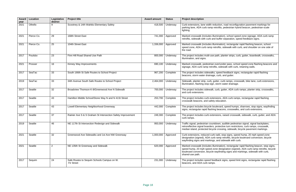2021 action, road reconfiguration pavement markings for rofits, pedestrian hybrid beacon, pedestrian-scale

nination), school speed zone signage, ADA curb ramp buffer separation, speed feedback signs.

nination), rectangular rapid flashing beacon, school rofits, sidewalk with curb, and shoulder on one side of

ath, planter strips, curb, gutter, boardwalk, crosswalks,

ver/under pass, school speed zone flashing beacons and sidewalk with curb, retaining walls.

speed feedback signs, rectangular rapid flashing curb, and gutter.

ter, curb ramps, crosswalk, bike lane, curb extensions, itorm water drainage.

urb, gutter, ADA curb ramps, planter strip, crosswalks,

sions, ADA curb ramps, rectangular rapid flashing education.

llevard, speed humps, sharrows, stop signs, wayfinding beacons, crosswalks, and curb extensions.

sions, raised crosswalk, sidewalk, curb, gutter, and ADA

own, audible pedestrian signal, signal backplates, rotective turn restrictions, curb ramps, crosswalk, crossing, sidewalk, bicycle pavement markings.

adii, stop signs, speed hump, 20 mph speed zone ramp retrofits, bicycle boulevard conversion, bicycle and sidewalk with curb.

nination), rectangular rapid flashing beacon, stop signs, ne designation (signed), ADA curb ramp retrofits, bicycle rayfinding signs and markings, sidewalk with curb,

back signs, speed limit signs, rectangular rapid flashing

| <b>Award</b><br>year | Location   | Legislative<br>district | <b>Project title</b>                                            | <b>Award amount</b> | <b>Status</b> | <b>Project description</b>                                                                                               |
|----------------------|------------|-------------------------|-----------------------------------------------------------------|---------------------|---------------|--------------------------------------------------------------------------------------------------------------------------|
| 2021                 | Othello    | 9                       | Scootney & 14th Wahitis Elementary Safety                       | 418,500             | Underway      | Curb extensions, lane width redu<br>parking lane, ADA curb ramp reti<br>lighting.                                        |
| 2021                 | Pierce Co. | 29                      | 168th Street East                                               | 741,000             | Approved      | Marked crosswalk (includes illum<br>retrofits, sidewalk with curb and I                                                  |
| 2021                 | Pierce Co. | 25                      | 104th Street East                                               | 1,336,000           | Approved      | Marked crosswalk (includes illum<br>speed zone, ADA curb ramp retr<br>the road.                                          |
| 2017                 | Poulsbo    | 23                      | Finn Hill Road Shared Use Path                                  | 800,000             | Underway      | The project includes multi-use pa<br>illumination, and signs.                                                            |
| 2021                 | Prosser    | 16                      | Kinney Way Improvements                                         | 690,100             | Underway      | Marked crosswalk, pedestrian ov<br>signage, ADA curb ramp retrofits                                                      |
| 2017                 | SeaTac     | 33                      | South 166th St Safe Routes to School Project                    | 967,200             | Complete      | The project includes sidewalks, s<br>beacons, storm water drainage,                                                      |
| 2019                 | SeaTac     | 33                      | 34th Avenue South Safe Routes to School Project                 | 2,464,000           | Underway      | Sidewalk, planter strip, curb, gutt<br>illumination, flashing stop sign, st                                              |
| 2017                 | Seattle    | 32                      | Broadview Thomson K-8/Greenwood Ave N Sidewalk                  | 700,000             | Underway      | The project includes sidewalk, cu<br>and curb extensions.                                                                |
| 2017                 | Seattle    | 43                      | Hamilton Middle School/Stone Way N and N 41St Street            | 253,700             | Complete      | The project includes curb extens<br>crosswalk beacons, and safety e                                                      |
| 2017                 | Seattle    | 43                      | Lowell Elementary Neighborhood Greenway                         | 442,000             | Complete      | The project includes bicycle boul<br>signs, rectangular rapid flashing                                                   |
| 2017                 | Seattle    | 37                      | Rainier Ave S & S Graham St Intersection Safety Improvement     | 249,300             | Complete      | The project includes curb extens<br>curb ramps.                                                                          |
| 2019                 | Seattle    | 46                      | NE 117th St Intersection Redesign and Sidewalk                  | 950,000             | Underway      | Traffic signal, pedestrian countdo<br>retroreflective signal boarders, pi<br>median island, protected bicycle            |
| 2021                 | Seattle    | 32                      | Greenwood Ave Sidewalks and 1st Ave NW Greenway                 | 1,000,000           | Approved      | Curb extensions, reduced curb ra<br>designation (signed), ADA curb r<br>wayfinding signs and markings, a                 |
| 2021                 | Seattle    | $\overline{2}$          | NE 135th St Greenway and Sidewalk                               | 620,000             | Approved      | Marked crosswalk (includes illum<br>speed hump, 20 mph speed zon<br>boulevard conversion, bicycle wa<br>shared-use path. |
| 2017                 | Sequim     | 24                      | Safe Routes to Sequim Schools Campus on W.<br><b>Fir Street</b> | 231,000             | Underway      | The project includes speed feed<br>beacons, and ADA curb ramps.                                                          |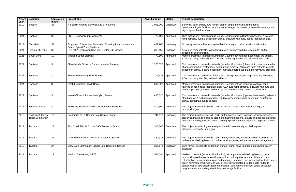2019 Septim 25 N Septim 25 N Septim 255, planter stripe, bike lane, roundabout m water drainage, illumination, crosswalk markings and

island, rectangular rapid flashing beacons, ADA curb rama is an audiom retrofits, and signal, sidewalk with curb, speed feedback signs.

ed feedback signs, curb extensions, education.

k with curb, walkway with bio-swale/ditch buffer,

ination), 20mph school speed zone near the school, and buffer separation, and sidewalk with curb.

valk (includes illumination), lane width reduction, median barking lane removal, ADA curb ramp retrofits, audible trian intervals, shared-use path, trail/driveway crossing.

ting at crossings, rectangular rapid flashing beacons, k with curb.

ination), median refuge island, rectangular rapid ation, ADA curb ramp retrofits, sidewalk with curb and curb, standard bike lanes, and curb extensions.

valk (includes illumination), pedestrian crossing advance ts, audible pedestrian signal, pedestrian countdown

arb, ADA curb ramps, crosswalk markings, and

Irb, gutter, bicycle lanes, signage, sharrow markings, pp bars, flashing beacons, bicycle and pedestrian safety d training, speed feedback signs and emphasis patrols.

ty activated crosswalk signal, flashing beacons,

2015 Tacoma 2017 Tacoma 2017 School School School School School and School 4the project includes School 450, gutter, crosswalk, Americans with Disabilities Act arb extensions, safety education and encouragement.

an signals, signal head upgrades, crosswalk, safety

nination), rectangular rapid flashing beacon, raised h reduction, parking lane removal, ADA curb ramp and markings, standard bike lanes, buffered bike lanes, way or two-way protected bike lane safe routes to ent program, safe routes to school safety education bicycle storage facility.

| Award<br>year | <b>Location</b>                             | Legislative<br>district | <b>Project title</b>                                                                     | <b>Award amount</b> | <b>Status</b>    | <b>Project description</b>                                                                                                                                                                                                |
|---------------|---------------------------------------------|-------------------------|------------------------------------------------------------------------------------------|---------------------|------------------|---------------------------------------------------------------------------------------------------------------------------------------------------------------------------------------------------------------------------|
| 2019          | Sequim                                      | 24                      | N Sequim Avenue Sidewalk and Bike Lanes                                                  | 1,098,000           | Underway         | Sidewalk, curb, gutter, curb ramps<br>pedestrian/bicycle facilities, storm<br>signs, speed feedback signs.                                                                                                                |
| 2021          | Shelton                                     | 35                      | <b>SRTS Crosswalk Improvements</b>                                                       | 770,103             | Approved         | Curb extensions, median refuge is<br>ramp retrofits, audible pedestrian                                                                                                                                                   |
| 2019          | Shoreline                                   | 32                      | Ridgecrest Elementary Pedestrian Crossing Improvements and<br>School Speed Zone Flashers | 467,700             | Underway         | School speed zone flashers, spee                                                                                                                                                                                          |
| 2021          | Skokomish Tribe                             | 35                      | S.R. 106/Reservation Rd/Tribal Center Rd Sidewalk                                        | 318,465             | Underway         | ADA curb ramp retrofits, sidewalk<br>pedestrian-scale lighting.                                                                                                                                                           |
| 2021          | South Bend                                  | 19                      | <b>Madison Street Sidewalk</b>                                                           | 477,100             | Approved         | Marked crosswalk (includes illumi<br>ADA curb ramp, sidewalk with cur                                                                                                                                                     |
| 2021          | Spokane                                     | 3                       | Shaw Middle School - Garland Avenue Pathway                                              | 1,228,528           | Approved         | Curb extensions, marked crosswa<br>channelization/turn restrictions, pa<br>pedestrian signal, leading pedestr                                                                                                             |
| 2021          | Spokane                                     | 3                       | <b>Bemiss Elementary Walk Route</b>                                                      | 717,635             | Approved         | Curb extensions, pedestrian lightir<br>ADA curb ramp retrofits, sidewalk                                                                                                                                                  |
| 2021          | Spokane                                     | 3                       | Finch Elementary Walk Route                                                              | 692,923             | Approved         | Marked crosswalk (includes illumi<br>flashing beacon, road reconfigura<br>buffer separation, sidewalk with co                                                                                                             |
| 2021          | Spokane                                     | 3                       | Nevada/Joseph Pedestrian Hybrid Beacon                                                   | 485,027             | Approved         | Curb extensions, marked crosswa<br>stop bars, ADA curb ramp retrofits<br>signal, pedestrian hybrid beacon.                                                                                                                |
| 2017          | Spokane Valley                              | 4                       | Wellesley Sidewalk Project, McDonald to Evergreen                                        | 402,300             | Complete         | The project includes sidewalk, cur<br>crosswalk signs.                                                                                                                                                                    |
| 2013          | Swinomish Indian<br><b>Tribal Community</b> | 10                      | Swinomish to La Conner Safe Routes Project                                               | 744,610             | Underway         | The project includes sidewalk, cur<br>crosswalk markings including stop<br>education training, crossing guard                                                                                                             |
| 2017          | Tacoma                                      | $\overline{27}$         | First Creek Middle School Safe Routes to School                                          |                     | 318,885 Complete | The project includes high-intensity<br>sidewalk, crosswalk, and signs.                                                                                                                                                    |
| 2017          | Tacoma                                      | 27                      | Lister Elementary School Safe Routes to School                                           | 450,115             | Complete         | The project includes sidewalk, cur<br>curb ramps, flashing beacons, cur                                                                                                                                                   |
| 2019          | Tacoma                                      | 27                      | Mary Lyon Elementary School Safe Routes to School                                        | 296,174             | Underway         | Curb ramps, accessible pedestria<br>education.                                                                                                                                                                            |
| 2021          | Tacoma                                      | 29                      | <b>Manitou Elementary SRTS</b>                                                           | 543,091             | Approved         | Marked crosswalk (includes illumi<br>crosswalk/speed table, lane width<br>retrofits, bicycle wayfinding signs<br>green pavement markings, one-w<br>school walk or bike encourageme<br>program, transit boarding island, b |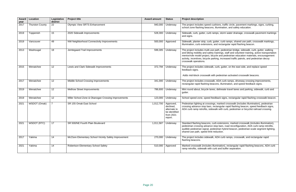nions, traffic circle, pavement markings, signs, curbing, lumination, and safety education.

ps, storm water drainage, crosswalk pavement markings

tter, curb ramps, shared use path, crosswalk markings, id rectangular rapid flashing beacon.

ath, pedestrian bridge, sidewalk, curb, gutter, walking ainings, staff and volunteer training, active transportation le and pedestrian education materials, encouragement ing, increased traffic patrols, and pedestrian decoy

urb, gutter, on the east side, and replace speed

pedestrian activated crosswalk beacons.

ADA curb ramps, driveway crossing improvements, ons, illumination, and speed feedback signs.

delineate travel lanes and parking, sidewalk, curb and

back signs, rectangular rapid flashing crosswalk beacon.

marked crosswalk (includes illumination), pedestrian tangular rapid flashing beacon, speed feedback signs, alk with curb, pedestrian or bicyclist railroad crossing.

extensions, marked crosswalk (includes illumination), pp bars, road reconfiguration, ADA curb ramp retrofits, strian hybrid beacon, pedestrian-scale segment lighting, duction.

ODA curb ramps, crosswalk, and rectangular rapid

mination), rectangular rapid flashing beacons, ADA curb b and buffer separation.

| <b>Award</b><br>year | <b>Location</b>        | Legislative<br>district | <b>Project title</b>                                  | <b>Award amount</b> | <b>Status</b>                                                                   | <b>Project description</b>                                                                                                                                                    |
|----------------------|------------------------|-------------------------|-------------------------------------------------------|---------------------|---------------------------------------------------------------------------------|-------------------------------------------------------------------------------------------------------------------------------------------------------------------------------|
| 2017                 | <b>Thurston County</b> | 22                      | <b>Olympic View SRTS Enhancement</b>                  | 940,000             | Underway                                                                        | The project includes speed cush<br>school zone flashing beacons, ill                                                                                                          |
| 2019                 | Toppenish              | 15                      | 2020 Sidewalk Improvements                            | 528,300             | Underway                                                                        | Sidewalk, curb, gutter, curb ramp<br>and signs.                                                                                                                               |
| 2019                 | Vancouver              | 49                      | NW Neighborhood Connectivity Improvements             | 500,000             | Approved                                                                        | Sidewalk, planter strip, curb, gut<br>illumination, curb extensions, an                                                                                                       |
| 2013                 | Washougal              | 18                      | Jemtegaard Trail Improvements                         | 599,305             | Underway                                                                        | The project includes multi-use pa<br>and biking mobility and safety tra<br>mentor/role model project, bicycl<br>activity, incentives, bicycle parkir<br>crosswalk operations. |
| 2015                 | Wenatchee              | 12                      | Lewis and Clark Sidewalk Improvements                 | 372,794             | Underway                                                                        | The project includes sidewalk, cu<br>feedback signs.<br>Adds mid-block crosswalk with p                                                                                       |
| 2017                 | Wenatchee              | 12                      | Middle School Crossing Improvements                   | 341,000             | Underway                                                                        | The project includes crosswalk,<br>rectangular rapid flashing beaco                                                                                                           |
| 2019                 | Wenatchee              | 12                      | Methow Street Improvements                            | 786,600             | Underway                                                                        | Mini round about, bicycle lanes,<br>gutter.                                                                                                                                   |
| 2019                 | Wenatchee              | 12                      | Miller School Zone & Okanogan Crossing Improvements   | 123,000             | Underway                                                                        | School speed zone, speed feedb                                                                                                                                                |
| 2021                 | WSDOT (Omak)           | $\overline{7}$          | SR 155 Omak East School                               | 1,012,700           | Approved,<br>declined,<br>alternate to<br>be identified<br>from 2021<br>report. | Pedestrian lighting at crossings,<br>crossing advance stop bars, rect<br>ADA curb ramp retrofits, sidewal                                                                     |
| 2021                 | WSDOT (RTC)            | 17                      | SR 500/NE Fourth Plain Boulevard                      | 1,011,587           | Underway                                                                        | Standard flashing beacons, curb<br>pedestrian crossing advance sto<br>audible pedestrian signal, pedes<br>shared-use path, speed limit red                                    |
| 2017                 | Yakima                 | 14                      | McClure Elementary School Vicinity Safety Improvement | 270,000             | Underway                                                                        | The project includes sidewalk, A<br>flashing beacons.                                                                                                                         |
| 2021                 | Yakima                 | 14                      | Robertson Elementary School Safety                    | 510,000             | Approved                                                                        | Marked crosswalk (includes illun<br>ramp retrofits, sidewalk with curk                                                                                                        |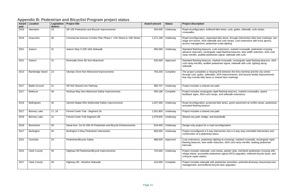ike lanes, curb, gutter, sidewalk, curb ramps,

I bike lanes, through intersection bike lane markings, two and curb ramps, curb extensions with truck aprons, acale lighting.

extensions, marked crosswalk, pedestrian crossing rapid flashing beacons, lane width reduction, ADA curb n signal, sidewalk with curb.

ked crosswalk, rectangular rapid flashing beacons, ADA estrian signal, sidewalk with curb, lighting along

If link between the ferry terminal and the city center ADA improvements, and bicycle facility improvements hared lane markings.

id flashing beacons, marked crosswalks, speed s, and sidewalk extensions.

bike lanes, green pavement at conflict areas, pedestrian

ersection into a 4-way stop controlled intersection and

ting at crossings, marked crosswalk, rectangular rapid luction, ADA curb ramp retrofits, leading pedestrian

amps, planter strip, mid-block pedestrian crossing with rian signal (APS) upgrades, widened bicycle lanes, and

edestrian amenities, potential driveway closures/access cle lane upgrades.

## **Appendix B: Pedestrian and Bicyclist Program project status**

| Award<br>year | Location             | Legislative<br>district | <b>Project title</b>                                                | <b>Award amount</b> | <b>Status</b>      | <b>Project description</b>                                                                                                                         |
|---------------|----------------------|-------------------------|---------------------------------------------------------------------|---------------------|--------------------|----------------------------------------------------------------------------------------------------------------------------------------------------|
| 2019          | Aberdeen             | 19                      | SR 105 Pedestrian and Bicycle Improvements                          | 364,000             | Underway           | Road reconfiguration, buffered bike lanes, cur<br>crosswalks.                                                                                      |
| 2019          | Anacortes            | 40                      | Commercial Avenue Corridor Plan Phase I: 11th Street to 13th Street | 1,371,188           | Underway           | Road reconfiguration, separated bike lanes, th<br>stage turn boxes, ADA sidewalk and curb ram<br>access management, pedestrian scale lighting      |
| 2021          | Auburn               | 31                      | Auburn Way S (SR 164) Sidewalk                                      | 695,000             | Underway           | Standard flashing beacons, curb extensions, r<br>advance stop bars, rectangular rapid flashing<br>ramp retrofits, audible pedestrian signal, sidev |
| 2021          | Auburn               | 31                      | Riverwalk Drive SE Non-Motorized                                    | 635,000             | Approved           | Standard flashing beacons, marked crosswalk<br>curb ramp retrofits, audible pedestrian signal,<br>sidewalk.                                        |
| 2013          | Bainbridge Island    | 23                      | <b>Olympic Drive Non-Motorized Improvements</b>                     | 764,200             | Complete           | The project completes a missing link between<br>through curb, gutter, sidewalks, ADA improver<br>that may include bike lanes or shared lane ma     |
| 2017          | <b>Battle Ground</b> | 31                      | SR 503 Shared Use Pathway                                           | 906,707             | Underway           | Project includes a shared use path.                                                                                                                |
| 2017          | <b>Bellevue</b>      | 48                      | Northup Way Non-Motorized Safety Improvements                       | 595,186             | Complete           | Project includes rectangular rapid flashing bea<br>feedback signs, ADA curb ramps, and sidewa                                                      |
| 2019          | Bellingham           | 40                      | Samish-Maple-Ellis Multimodal Safety Improvements                   | 1,007,000           | Underway           | Road reconfiguration, protected bike lanes, gr<br>activated flashing beacon.                                                                       |
| 2017          | <b>Bonney Lake</b>   | 17, 18                  | Fennel Creek Trail - Segment 2A                                     | 1,501,805           | Underway           | Project includes a shared use path.                                                                                                                |
| 2019          | <b>Bonney Lake</b>   | 31                      | Fennel Creek Trail Segment 2B                                       | 1,079,825           | Underway           | Shared use path, bridge, and boardwalk.                                                                                                            |
| 2019          | <b>Bremerton</b>     | 26                      | Naval Ave: 1st St-15th St Pedestrian and Bicycle Enhancements       | 619,400             | Underway           | Design-only project for a road reconfiguration.                                                                                                    |
|               | 2017   Burlington    | 40                      | Burlington 5-Way Pedestrian Intersection                            |                     | 800,000   Underway | Project reconfigured a 5-way intersection into<br>construction of a pedestrian plaza.                                                              |
| 2021          | Centralia            | 20                      | Pedestrian/Bicycle Safety                                           | 988,000             | Approved           | Curb extensions, pedestrian lighting at crossir<br>flashing beacons, lane width reduction, ADA of<br>intervals.                                    |
| 2015          | <b>Clark County</b>  | 49                      | Highway 99 Pedestrian/Bicycle Improvements                          | 725,000             | Underway           | Project includes sidewalk, curb ramps, planter<br>refuge island, accessible pedestrian signal (Al<br>a bicycle repair station.                     |
| 2017          | <b>Clark County</b>  | 49                      | Highway 99-- Klineline Sidewalk                                     | 410,000             | Complete           | Project includes sidewalk with pedestrian ame<br>management, and buffered bicycle lane upgra                                                       |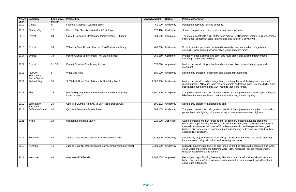corm water improvements.

er, wide sidewalk, ADA improvements, curb extensions, hting, and bike lanes in a downtown.

ated crosswalk beacons, median refuge island, lization, signs and curb ramps.

ath, bike route signs, and striping improvements

vard conversion, bicycle wayfinding (signs and

In and bicycle improvements.

ge island, rectangular rapid flashing beacons, road retrofits, audible pedestrian signal, standard bike lanes, DA retrofits (non-curb ramp).

ter, sidewalk, ADA improvements, landscape buffer, and esidential area along a state highway.

er, sidewalk, ADA improvements, marked crosswalks, nes along a downtown main street highway.

island, pedestrian, crossing advance stop bars ns, lane width reduction, road reconfiguration, median ADA curb ramp retrofits, audible pedestrian signal, ment markings, leading pedestrian intervals, bike box,

0% design of sidewalk, buffered bike lanes, crossing and retaining structures.

bike lanes, in-line bus stops with separated bike lanes, ining walls, utility relocation, access management,

ons, ADA curb ramp retrofits, sidewalk with curb and (non-curb ramp), turn lane removal, speed feedback

| Award<br>year | <b>Location</b>                                    | Legislative<br>district | <b>Project title</b>                                                    | <b>Award amount</b> | <b>Status</b> | <b>Project description</b>                                                                                                                                                                                    |
|---------------|----------------------------------------------------|-------------------------|-------------------------------------------------------------------------|---------------------|---------------|---------------------------------------------------------------------------------------------------------------------------------------------------------------------------------------------------------------|
| 2019          | Colfax                                             | 9                       | Flashing Crosswalk Warning Signs                                        | 50,000              | Underway      | Pedestrian activated flashing beacons.                                                                                                                                                                        |
| 2019          | <b>Electric City</b>                               | 12                      | Electric City Shoreline Waterfront Trail Project                        | 672,410             | Underway      | Shared use path, curb ramps, storm water                                                                                                                                                                      |
| 2013          | Everett                                            | 38                      | Everett Downtown Streetscape Improvements - Phase II                    | 554,520             | Complete      | The project constructs curb, gutter, wide s<br>street trees, pedestrian scale lighting, and                                                                                                                   |
| 2015          | Everett                                            | 38                      | W Marine View Dr. and Alverson Blvd Pedestrian Safety                   | 400,200             | Underway      | Project includes pedestrian activated cros<br>sidewalk, traffic calming channelization, si                                                                                                                    |
| 2017          | Everett                                            | 38                      | Pacific Avenue to Interurban Trail Bicycle Safety                       | 366,550             | Complete      | Project includes a shared use path, bike re<br>including shared lane markings.                                                                                                                                |
| 2021          | Everett                                            | 21,38                   | Everett Citywide Bicycle Wayfinding                                     | 373,090             | Approved      | Marked crosswalk, bicycle boulevard conv<br>markings).                                                                                                                                                        |
| 2015          | Fall City<br>Metropolitan<br><b>Parks District</b> | 5                       | West Side Trail                                                         | 180,000             | Underway      | Design only project for pedestrian and bic                                                                                                                                                                    |
| 2021          | Federal Way                                        | 30                      | S 288th St Road Diet - Military Rd S to 34th Ave S                      | 1,000,000           | Underway      | Marked crosswalk, median refuge island,<br>reconfiguration, ADA curb ramp retrofits, a<br>pedestrian countdown signal, ADA retrofit                                                                           |
| 2013          | Fife                                               | 25                      | Pacific Highway E (SR 99) Pedestrian and Bicycle Safety<br>Improvements | 1,660,800           | Complete      | The project constructs curb, gutter, sidewa<br>bike lane in a commercial and residential                                                                                                                      |
| 2019          | Jamestown<br><b>S'Klallam</b>                      | 24                      | ODT Old Olympic Highway to Blyn Road- Design Only                       | 105,282             | Underway      | Design-only project for a shared use path.                                                                                                                                                                    |
| 2013          | Jefferson County                                   | 24                      | Quilcene Complete Streets Project                                       | 884,165             | Underway      | The project constructs curb, gutter, sidewa<br>pedestrian scale lighting, bike lanes along                                                                                                                    |
| 2021          | Kelso                                              | 19                      | Pedestrian and Bike Safety                                              | 929,000             | Approved      | Curb extensions, median refuge island, pe<br>rectangular rapid flashing beacons, lane w<br>channelization/turn restrictions, ADA curb<br>buffered bike lanes, green pavement mark<br>shared street (woonerf). |
| 2017          | Kenmore                                            | 46                      | Juanita Drive Pedestrian and Bicycle Improvements                       | 525,600             | Underway      | Design-only project includes 100% design<br>improvements, utility relocation, and retair                                                                                                                      |
| 2019          | Kenmore                                            | 46                      | Juanita Drive NE Pedestrian and Bicycle Improvements Project            | 2,000,000           | Underway      | Sidewalk, planter strip, buffered bike lanes<br>storm water improvements, retaining walls<br>roadway realignment, and lighting.                                                                               |
| 2021          | Kenmore                                            | 46                      | 61st Ave NE Sidewalk                                                    | 1,364,265           | Approved      | Rectangular rapid flashing beacons, ADA<br>buffer, bike lanes, ADA retrofits (non-curb<br>signs, curb extensions.                                                                                             |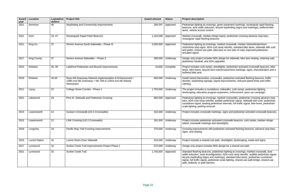green pavement markings, rectangular rapid flashing bicycle wayfinding (signs and markings), buffered bike

3021 Beacons as as arectangular Beatons island, pedestrian crossing advance stop bars, ons.

marked crosswalk, median channelization/turn b ramp retrofits, standard bike lanes, sidewalk with curb ke lane on one side of road, improved pedestrian-

% design for sidewalk, bike lane striping, retaining wall, pgrades.

eetlights, pedestrian activated crosswalk beacons, bike colored pavement markings, signs, channelization and a

walks, pedestrian activated flashing beacons, traffic anal improvements, reduced speed limits and traffic

2011, sidewalks, curb ramps, pedestrian lighting, expansion, enforcement, pace car campaign.

marked crosswalks, pedestrian crossing advance stop udible pedestrian signal, sidewalk with curb, pedestrian strian intervals, full traffic signal, bike lanes, pedestrian-

ings, signs and pedestrian activated crosswalk beacons.

ated crosswalk beacons, curb ramps, median refuge streetlights.

destrian activated flashing beacons, advance stop bars,

ath, streetlights, landscaping, swale and signs.

% design for a shared use path.

estrian lighting at crossings, marked crosswalk, lane ation, ADA curb ramp retrofits, audible pedestrian signal, arkings), standard bike lanes, pedestrian countdown ian scale lighting, shared use path bridge, shared-use

| Award<br>year | Location           | Legislative<br>district | <b>Project title</b>                                                                                                               | <b>Award amount</b> | <b>Status</b> | <b>Project description</b>                                                                                                                                                            |
|---------------|--------------------|-------------------------|------------------------------------------------------------------------------------------------------------------------------------|---------------------|---------------|---------------------------------------------------------------------------------------------------------------------------------------------------------------------------------------|
| 2021          | Kenmore            | 46                      | Wayfinding and Connectivity Improvements                                                                                           | 306,047             | Approved      | Pedestrian lighting at crossings,<br>beacons, lane width reduction, b<br>lanes, vehicle access control.                                                                               |
| 2021          | Kent               | 33, 47                  | Rectangular Rapid Flash Beacons                                                                                                    | 1,163,588           | Approved      | Marked crosswalk, median refug<br>rectangular rapid flashing beaco                                                                                                                    |
| 2021          | King Co.           | 37                      | Renton Avenue South Sidewalks - Phase III                                                                                          | 2,000,000           | Approved      | Pedestrian lighting at crossings,<br>restrictions stop signs, ADA curb<br>and gutter, shared-use path, bik<br>actuated signal.                                                        |
| 2017          | <b>King County</b> | 37                      | Renton Avenue Sidewalks - Phase 3                                                                                                  | 590,000             | Underway      | Design only project includes 909<br>pedestrian handrail, and ADA up                                                                                                                   |
| 2015          | Kirkland           | 45, 48                  | Lakefront Pedestrian and Bicycle Improvements                                                                                      | 10,600              | Complete      | Project includes curb ramps, stre<br>lanes, bike boxes, bicycle lane c<br>buffered bike lane.                                                                                         |
| 2019          | Kirkland           | 45,48                   | Rose Hill Greenway Network Implementation & Enhancement -<br>128th Ave NE Greenway + NE 75th & 120nd Ave NE Raised<br>Intersection | 692,000             | Underway      | Install raised intersection, crossv<br>diverter, wayfinding signage, sig<br>calming.                                                                                                  |
| 2011          | Lacey              | 22                      | College Street Corridor - Phase 1                                                                                                  | 1,750,000           | Underway      | The project includes a roundabo<br>landscaping, education program                                                                                                                     |
| 2021          | Lakewood           | 29                      | Pine St. Sidewalk and Pedestrian Crossing                                                                                          | 883,000             | Approved      | Pedestrian lighting at crossings,<br>bars, ADA curb ramp retrofits, a<br>countdown signal, leading pedes<br>scale lighting, parking removal.                                          |
| 2015          | Leavenworth        | 12                      | Gustav's Crosswalk (US 2 Crosswalks)                                                                                               | 222,500             | Underway      | Project includes crosswalk mark                                                                                                                                                       |
| 2015          | Leavenworth        | 12                      | LINK Crossing (US 2 Crosswalks)                                                                                                    | 281,000             | Underway      | Project includes pedestrian activ<br>island, crosswalk markings and                                                                                                                   |
| 2019          | Longview           | 19                      | Pacific Way Trail Crossing Improvements                                                                                            | 270,000             | Underway      | Crossing improvements with peo<br>signs, and striping.                                                                                                                                |
| 2015          | Lummi Nation       | 42                      | Lummi Shore Drive Sidewalk                                                                                                         | 615,000             | Underway      | Project includes a shared-use pa                                                                                                                                                      |
| 2017          | Lynnwood           | 32                      | Scriber Creek Trail Improvements Project Phase 1                                                                                   | 675,000             | Underway      | Design only project includes 909                                                                                                                                                      |
| 2021          | Lynnwood           | 32                      | <b>Scriber Creek Trail</b>                                                                                                         | 1,750,000           | Approved      | Standard flashing beacons, ped<br>width reduction, road reconfigura<br>bicycle wayfinding (signs and ma<br>signal, full traffic signal, pedestri<br>path, bollards, or path barriers. |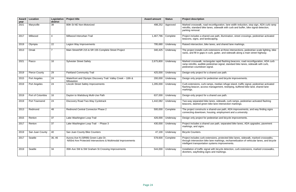guration, lane width reduction, stop sign, ADA curb ramp lewalk with curb and buffer, bike signal detection,

ath, illumination, street crossings, pedestrian activated

and shared lane markings.

ons at three intersections, pedestrian scale lighting, bike itter, and sidewalk along a main street highway.

<sup>2</sup>apid flashing beacons, road reconfiguration, ADA curb n signal, standard bike lanes, sidewalk with curb,

an and bicycle improvements.

edian refuge island, traffic signal, pedestrian activated ement, restriping, buffered bike land, shared lane

sidewalk, curb ramps, pedestrian activated flashing e intersection markings.

-use path, ADA improvements, and way finding signs employment and a university.

an and bicycle improvements.

ath, separated bike lanes, ADA upgrades, pavement

5, protected bike lanes, sidewalk, marked crosswalks, arkings, rechannelization of vehicular lanes, and bicycle s improvements.

bicycle detection, curb extensions, marked crosswalks,  $n$ arkings.

| Award<br>year | Location             | Legislative<br>district | <b>Project title</b>                                                                               | <b>Award amount</b> | <b>Status</b> | <b>Project description</b>                                                                                                              |
|---------------|----------------------|-------------------------|----------------------------------------------------------------------------------------------------|---------------------|---------------|-----------------------------------------------------------------------------------------------------------------------------------------|
| 2021          | Marysville           | 38                      | 80th St NE Non-Motorized                                                                           | 498,252             | Approved      | Marked crosswalk, road reconfiguration, la<br>retrofits, standard bike lanes, sidewalk wit<br>parking removal.                          |
| 2017          | Millwood             | 4                       | Millwood Interurban Trail                                                                          | 1,467,796           | Complete      | Project includes a shared-use path, illumir<br>beacons, signs, and landscaping.                                                         |
| 2019          | Olympia              | 22                      | Legion Way Improvements                                                                            | 795,680             | Underway      | Raised intersection, bike lanes, and share                                                                                              |
| 2013          | Omak                 | $\overline{7}$          | Main Street/SR 215 & SR 155 Complete Street Project                                                | 340,425             | Underway      | The project installs curb extensions at thre<br>racks, and fill in gaps in curb, gutter, and s                                          |
| 2021          | Pasco                | 16                      | <b>Sylvester Street Safety</b>                                                                     | 2,675,800           | Underway      | Marked crosswalk, rectangular rapid flash<br>ramp retrofits, audible pedestrian signal, s<br>pedestrian countdown signal.               |
| 2019          | <b>Pierce County</b> | 29                      | <b>Parkland Community Trail</b>                                                                    | 425,000             | Underway      | Design-only project for a shared use path.                                                                                              |
| 2015          | Port Angeles         | 24                      | Waterfront and Olympic Discovery Trail: Valley Creek - 10th &<br>Milwaukee                         | 200,000             | Underway      | Design only project for pedestrian and bict                                                                                             |
| 2019          | Port Angeles         | 24                      | <b>Lincoln Street Safety Improvements</b>                                                          | 1,285,000           | Underway      | Curb extensions, curb ramps, median refu<br>flashing beacon, access management, res<br>markings.                                        |
| 2019          | Port of Columbia     | 16                      | Dayton to Waitsburg Multi-Use Path                                                                 | 637,000             | Underway      | Design-only project for a shared use path.                                                                                              |
| 2019          | Port Townsend        | 24                      | Discovery Road Two-Way Cycletrack                                                                  | 1,442,082           | Underway      | Two-way separated bike lanes, sidewalk,<br>beacons, dashed green bike lane intersec                                                     |
| 2013          | Redmond              | 48                      | Redmond Central Connector Phase 2                                                                  | 500,000             | Complete      | The project constructs a shared-use path,<br>connecting downtown, housing, employme                                                     |
| 2015          | Renton               | 37                      | Lake Washington Loop Trail                                                                         | 426,000             | Underway      | Design only project for pedestrian and bic                                                                                              |
| 2017          | Renton               | 37                      | Lake Washington Loop Trail - Phase 3                                                               | 430,000             | Underway      | Project includes a shared use path, separa<br>markings, and signs.                                                                      |
| 2019          | San Juan County      | 40                      | San Juan County Bike Counters                                                                      | 47,100              | Underway      | <b>Bicycle Counters.</b>                                                                                                                |
| 2017          | Seattle              | 36, 46                  | Aurora Ave N (SR99) Green Lake Dr.<br>N/83rd Ave Protected Intersections & Multimodal Improvements | 578,600             | Complete      | Project includes curb extensions, protecte<br>through intersection bike lane markings, re<br>intelligent transportation systems improve |
| 2019          | Seattle              | 34                      | 35th Ave SW & SW Graham St Crossing Improvements                                                   | 544,000             | Underway      | Installation of traffic signal with bicycle det<br>diverters, wayfinding signs and markings.                                            |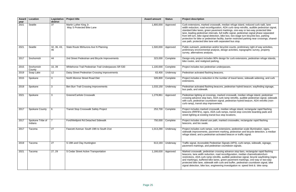walk, median refuge island, reduced curb radii, lane ation, ADA curb ramp retrofits, audible pedestrian signal, ement markings, one-way or two-way protected bike ls, full traffic signal, pedestrian signal phase separated ion, bike box, two-stage turn bicyclist box, parking facility, barrier restricted parking near crossings, sharedth separated bus stop.

or bicyclist counts, preliminary right of way activities, vsis, design activities, topographic survey, property

% design for curb extensions, pedestrian refuge islands, ng.

he number of travel lanes, sidewalk widening, and curb

acons, pedestrian hybrid beacon, wayfinding signage,

marked crosswalk, median refuge island, pedestrian A curb ramp retrofits, audible pedestrian signal, sidewalk signal, pedestrian hybrid beacon, ADA retrofits (nonment.

ralk, median refuge island, rectangular rapid flashing curb ramps, transit stop concrete boarding pads and bus stop locations.

h, marked crosswalks, rectangular rapid flashing

rb extensions, pedestrian scale illumination, signs, ent marking, pedestrian and bicycle detection, a median activated beacon or traffic signal.

trian Signals (APS), curb ramps, sidewalk, signage, trian countdown signals.

rossing advance stop bars, rectangular rapid flashing road reconfiguration, median channelization/turn ofits, audible pedestrian signal, bicycle wayfinding (signs nes, green pavement markings, one-way or two-way th curb and buffer, pedestrian countdown signal, bike seering investigation re: speed limit & bike ramp.

| Award        | Location                    | Legislative  <br>district | <b>Project title</b>                                 | <b>Award amount</b> | <b>Status</b> | <b>Project description</b>                                                                                                                                                                                                                                                                                                                                     |
|--------------|-----------------------------|---------------------------|------------------------------------------------------|---------------------|---------------|----------------------------------------------------------------------------------------------------------------------------------------------------------------------------------------------------------------------------------------------------------------------------------------------------------------------------------------------------------------|
| year<br>2021 | Seattle                     | 37                        | Martin Luther King Jr.<br>Way S Protected Bike Lane  | 1,800,000           | Approved      | Curb extensions, marked crosswalk, median i<br>width reduction, road reconfiguration, ADA cu<br>standard bike lanes, green pavement marking<br>lane, leading pedestrian intervals, full traffic si<br>from left turn, bike signal detection, bike box,<br>protection for bike or pedestrian facility, barrie<br>use path, protected bike lane with separated I |
| 2021         | Seattle                     | 32, 36, 43,<br>46         | State Route 99/Aurora Ave N Planning                 | 1,500,000           | Approved      | Public outreach, pedestrian and/or bicyclist co<br>preliminary environmental analysis, design ac<br>survey, alternatives analysis.                                                                                                                                                                                                                             |
| 2017         | Snohomish                   | 44                        | 2nd Street Pedestrian and Bicycle Improvements       | 323,000             | Complete      | Design-only project includes 90% design for o<br>bike routes, and realigned parking.                                                                                                                                                                                                                                                                           |
| 2015         | Snohomish<br>County         | 10, 39                    | Whitehorse Trail Pedestrian Trail Underpasses SR 530 | 1,100,000           | Complete      | Project includes two pedestrian underpasses.                                                                                                                                                                                                                                                                                                                   |
| 2019         | Soap Lake                   | 12                        | Daisy Street Pedestrian Crossing Improvements        | 63,400              | Underway      | Pedestrian activated flashing beacons.                                                                                                                                                                                                                                                                                                                         |
| 2015         | Spokane                     | 3                         | North Monroe Street Road Diet                        | 326,800             | Complete      | Project includes a reduction in the number of<br>extensions.                                                                                                                                                                                                                                                                                                   |
| 2019         | Spokane                     | 3                         | Ben Burr Trail Crossing Improvements                 | 1,033,150           | Underway      | Pedestrian activated flashing beacons, pedes<br>bus pads, and sidewalk.                                                                                                                                                                                                                                                                                        |
| 2021         | Spokane                     | 3                         | Greene/Carlisle Crosswalk                            | 1,278,861           | Approved      | Pedestrian lighting at crossings, marked cross<br>crossing advance stop bars, ADA curb ramp r<br>with curb, pedestrian countdown signal, pede<br>curb ramp), transit stop improvement.                                                                                                                                                                         |
| 2017         | Spokane County              | 6                         | <b>Transit Stop Crosswalk Safety Project</b>         | 253,700             | Complete      | Project includes marked crosswalk, median re<br>beacons (RRFB's), signs, ADA curb ramps, tr<br>street lighting at existing transit bus stop locat                                                                                                                                                                                                              |
| 2017         | Spokane Tribe of<br>Indians | 7                         | Ford/Wellpinit Rd Detached Sidewalk                  | 750,000             | Complete      | Project includes shared use path, marked cro<br>beacons, and bio swale.                                                                                                                                                                                                                                                                                        |
| 2017         | Tacoma                      | 27                        | Fawcett Avenue: South 19th to South 21st             | 1,013,290           | Underway      | Project includes curb ramps, curb extensions,<br>sidewalk improvements, pavement marking, p<br>refuge island, and a pedestrian activated bea                                                                                                                                                                                                                   |
| 2019         | Tacoma                      | 27                        | S 19th and Clay Huntington                           | 613,193             | Underway      | Traffic signal, Accessible Pedestrian Signals<br>pavement markings, and pedestrian countdov                                                                                                                                                                                                                                                                    |
| 2021         | Tacoma                      | 27, 29                    | S Cedar Street Active Transportation                 | 1,166,630           | Approved      | Marked crosswalk, pedestrian crossing advar<br>beacons, lane width reduction, road reconfigu<br>restrictions, ADA curb ramp retrofits, audible p<br>and markings), buffered bike lanes, green pay<br>protected bike lane, sidewalk with curb and bi<br>signal detection, bike box, engineering investi                                                         |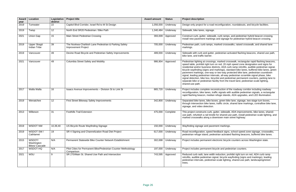configuration, roundabouts, and bicycle facilities.

curb ramps, and pedestrian hybrid beacon crossing. and signage for pedestrian hybrid beacon crossing.

arked crosswalks, raised crosswalk, and shared lane

edestrian activated flashing beacons, shared use path,

marked crosswalk, rectangular rapid flashing beacons, n red, 20 mph speed zone designation and signs for icts, ADA curb ramp retrofits, audible pedestrian signal, arkings), standard bike lanes, buffered bike lanes, green two-way protected bike lane, pedestrian countdown als, all-way pedestrian scramble signal phase, bike list and pedestrian permanent counters, parking lane to ity from the travel land, pedestrian-scale lighting,

struction of the roadway corridor including roadway c signals with audible pedestrian signals, a rectangular efuge islands, ADA upgrades, and LED illumination.

s, green bike lane, signage, two-stage turn boxes, traffic circle, shared lane markings, contraflow bike lane,

ter, sidewalk, ADA improvements, bike lanes, sharedior shared-use path, install pedestrian scale lighting, and ntown main street highway.

dback signs, school speed zone signage, crosswalks, rian activated flashing beacons, buffered bike lanes.

tronic bicycle counters across Washington state.

cle and pedestrian counters.

eduction, prohibit right turn on red, ADA curb ramp al, bicycle wayfinding (signs and markings), leading scale lighting, shared-use path, landscaping/street

| Award<br>year | <b>Location</b>                              | Legislative<br>district | <b>Project title</b>                                                              | <b>Award amount</b> | <b>Status</b>      | <b>Project description</b>                                                                                                                                                                                                                                                                                                                                                                                                     |
|---------------|----------------------------------------------|-------------------------|-----------------------------------------------------------------------------------|---------------------|--------------------|--------------------------------------------------------------------------------------------------------------------------------------------------------------------------------------------------------------------------------------------------------------------------------------------------------------------------------------------------------------------------------------------------------------------------------|
| 2019          | Tumwater                                     | 22                      | Capitol Blvd Corridor, Israel Rd to M St Design                                   | 1,056,000           | Underway           | Design-only project for a road reconfiguration                                                                                                                                                                                                                                                                                                                                                                                 |
| 2019          | Twisp                                        | 12                      | North End SR20 Pedestrian / Bike Path                                             | 1,340,484           | Underway           | Sidewalk, bike lanes, signage.                                                                                                                                                                                                                                                                                                                                                                                                 |
| 2021          | Union Gap                                    | 15                      | Main Street Pedestrian Crossing                                                   | 393,009             | Approved           | Construct curb, gutter, sidewalk, curb ramps,<br>Install new pavement markings and signage f                                                                                                                                                                                                                                                                                                                                   |
| 2019          | <b>Upper Skagit</b><br><b>Indian Tribe</b>   | 39                      | The Nookwa-Chahbsh Lane Pedestrian & Parking Safety<br><b>Improvement Project</b> | 705,000             | Underway           | Pedestrian path, curb ramps, marked crossw<br>markings.                                                                                                                                                                                                                                                                                                                                                                        |
| 2019          | Vancouver                                    | 49                      | Devine Road Bicycle and Pedestrian Safety Improvements                            | 489,000             | Underway           | Sidewalk with curb and gutter, pedestrian act<br>bike lane, and traffic barrier.                                                                                                                                                                                                                                                                                                                                               |
| 2021          | Vancouver                                    | 49                      | Columbia Street Safety and Mobility                                               | 986,904             | Approved           | Pedestrian lighting at crossings, marked cros<br>speed table, prohibit right turn on red, 20 mpl<br>residential and/or business districts, ADA cur<br>bicycle wayfinding (signs and markings), star<br>pavement markings, one-way or two-way pro<br>signal, leading pedestrian intervals, all-way p<br>signal detection, bike box, bicyclist and pedes<br>separate bike or pedestrian facility from the tr<br>shared-use path. |
| 2017          | Walla Walla                                  | 16                      | Isaacs Avenue Improvements - Division St to Link St                               | 865,720             | Underway           | Project includes complete reconstruction of th<br>reconfiguration, bike lanes, traffic signals with<br>rapid flashing beacon, median refuge islands                                                                                                                                                                                                                                                                            |
| 2019          | Wenatchee                                    | 12                      | First Street Bikeway Safety Improvements                                          | 342,800             | Underway           | Separated bike lanes, bike boxes, green bike<br>through intersection bike lanes, traffic circle, a<br>signage, and video detection.                                                                                                                                                                                                                                                                                            |
| 2013          | Wilkeson                                     | 31                      | <b>Foothills Trail Extension</b>                                                  | 475,000             | Complete           | This project constructs curb, gutter, sidewalk,<br>use path, refurbish a rail trestle for shared-us<br>marked crosswalks along a downtown main s                                                                                                                                                                                                                                                                               |
| 2019          | WSDOT NW                                     | 10,39,40                | US Bicycle Route Wayfinding Signage                                               |                     | 150,000   Underway | Wayfinding signage and pavement markings.                                                                                                                                                                                                                                                                                                                                                                                      |
| 2019          | WSDOT SW/<br>Cathlamet                       | 19                      | SR 4 Signing and Channelization Road Diet Project                                 | 617,000             | Underway           | Road reconfiguration, speed feedback signs,<br>pedestrian refuge island, pedestrian activated                                                                                                                                                                                                                                                                                                                                  |
| 2015          | WSDOT/<br>Washington<br><b>Bikes/Cascade</b> | N/A                     | Permanent Statewide Bike Counter Network Establishment                            | 302,698             | Underway           | Project includes permanent electronic bicycle                                                                                                                                                                                                                                                                                                                                                                                  |
| 2017          | WSDOT-HQ                                     | N/A                     | Pilot Cities for Permanent Bike/Pedestrian Counter Methodology<br>Comparison      | 197,000             | Underway           | Project includes permanent bicycle and pede                                                                                                                                                                                                                                                                                                                                                                                    |
| 2021          | WSU                                          | 9                       | SR 270/Main St. Shared Use Path and Intersection                                  | 743,595             | Approved           | Reduced curb radii, lane width reduction, pro<br>retrofits, audible pedestrian signal, bicycle wa<br>pedestrian intervals, pedestrian-scale lighting<br>trees.                                                                                                                                                                                                                                                                 |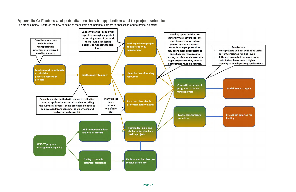Two factors: most projects will not be funded under current/projected funding levels Although evaluated the same, some jurisdictions have a much higher capacity to develop strong applications

**Decision not to apply** 

**Project not selected for** funding

# **Appendix C: Factors and potential barriers to application and to project selection**

The graphic below illustrates the flow of some of the factors and potential barriers to application and to project selection.

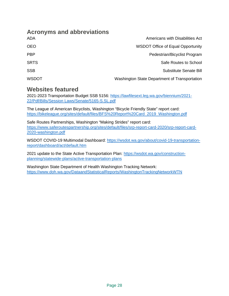## **Acronyms and abbreviations**

| Americans with Disabilities Act               | ADA          |
|-----------------------------------------------|--------------|
| <b>WSDOT Office of Equal Opportunity</b>      | <b>OEO</b>   |
| Pedestrian/Bicyclist Program                  | <b>PBP</b>   |
| Safe Routes to School                         | <b>SRTS</b>  |
| Substitute Senate Bill                        | <b>SSB</b>   |
| Washington State Department of Transportation | <b>WSDOT</b> |

## **Websites featured**

2021-2023 Transportation Budget SSB 5156: [https://lawfilesext.leg.wa.gov/biennium/2021-](https://lawfilesext.leg.wa.gov/biennium/2021-22/Pdf/Bills/Session%20Laws/Senate/5165-S.SL.pdf) 22/Pdf/Bills/Session [Laws/Senate/5165-S.SL.pdf](https://lawfilesext.leg.wa.gov/biennium/2021-22/Pdf/Bills/Session%20Laws/Senate/5165-S.SL.pdf)

The League of American Bicyclists, Washington "Bicycle Friendly State" report card: [https://bikeleague.org/sites/default/files/BFS%20Report%20Card\\_2019\\_Washington.pdf](https://bikeleague.org/sites/default/files/BFS%20Report%20Card_2019_Washington.pdf) 

Safe Routes Partnerships, Washington "Making Strides" report card: [https://www.saferoutespartnership.org/sites/default/files/srp-report-card-2020/srp-report-card-](https://www.saferoutespartnership.org/sites/default/files/srp-report-card-2020/srp-report-card-2020-washington.pdf)[2020-washington.pdf](https://www.saferoutespartnership.org/sites/default/files/srp-report-card-2020/srp-report-card-2020-washington.pdf)

WSDOT COVID-19 Multimodal Dashboard: [https://wsdot.wa.gov/about/covid-19-transportation](https://wsdot.wa.gov/about/covid-19-transportation-report/dashboard/act/default.htm)[report/dashboard/act/default.htm](https://wsdot.wa.gov/about/covid-19-transportation-report/dashboard/act/default.htm)

2021 update to the State Active Transportation Plan: [https://wsdot.wa.gov/construction](https://wsdot.wa.gov/construction-planning/statewide-plans/active-transportation-plans)[planning/statewide-plans/active-transportation-plans](https://wsdot.wa.gov/construction-planning/statewide-plans/active-transportation-plans) 

Washington State Department of Health Washington Tracking Network: <https://www.doh.wa.gov/DataandStatisticalReports/WashingtonTrackingNetworkWTN>